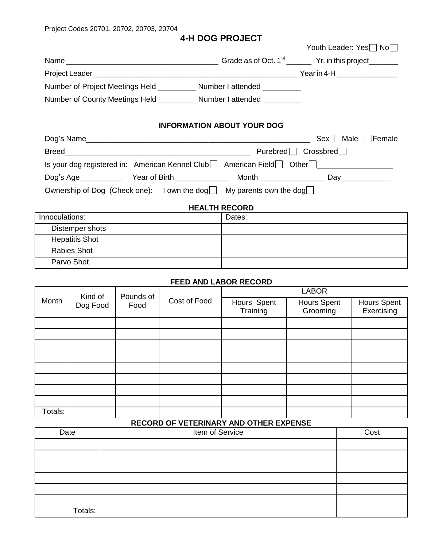Project Codes 20701, 20702, 20703, 20704

Parvo Shot

## **4-H DOG PROJECT**

|                                                                                            | Youth Leader: Yes No              |  |  |
|--------------------------------------------------------------------------------------------|-----------------------------------|--|--|
|                                                                                            |                                   |  |  |
|                                                                                            |                                   |  |  |
| Number of Project Meetings Held ____________ Number I attended _________                   |                                   |  |  |
| Number of County Meetings Held ___________ Number I attended _________                     |                                   |  |  |
|                                                                                            | <b>INFORMATION ABOUT YOUR DOG</b> |  |  |
|                                                                                            | Sex Male<br>  Female              |  |  |
|                                                                                            | $Purebred$ Crossbred              |  |  |
| Is your dog registered in: American Kennel Club□ American Field□ Other ■                   |                                   |  |  |
| Dog's Age___________ Year of Birth_______________ Month___________________Day_____________ |                                   |  |  |
| Ownership of Dog (Check one): I own the dog $\Box$ My parents own the dog $\Box$           |                                   |  |  |
| <b>HEALTH RECORD</b>                                                                       |                                   |  |  |
| Innoculations:                                                                             | Dates:                            |  |  |
| Distemper shots                                                                            |                                   |  |  |
| <b>Hepatitis Shot</b>                                                                      |                                   |  |  |
| <b>Rabies Shot</b>                                                                         |                                   |  |  |

## **FEED AND LABOR RECORD**

| Month   | Kind of<br>Dog Food | Pounds of<br>Food | Cost of Food | <b>LABOR</b>            |                                |                                  |
|---------|---------------------|-------------------|--------------|-------------------------|--------------------------------|----------------------------------|
|         |                     |                   |              | Hours Spent<br>Training | <b>Hours Spent</b><br>Grooming | <b>Hours Spent</b><br>Exercising |
|         |                     |                   |              |                         |                                |                                  |
|         |                     |                   |              |                         |                                |                                  |
|         |                     |                   |              |                         |                                |                                  |
|         |                     |                   |              |                         |                                |                                  |
|         |                     |                   |              |                         |                                |                                  |
|         |                     |                   |              |                         |                                |                                  |
|         |                     |                   |              |                         |                                |                                  |
|         |                     |                   |              |                         |                                |                                  |
|         |                     |                   |              |                         |                                |                                  |
| Totals: |                     |                   |              |                         |                                |                                  |

# **RECORD OF VETERINARY AND OTHER EXPENSE**

| Date    | Item of Service | Cost |
|---------|-----------------|------|
|         |                 |      |
|         |                 |      |
|         |                 |      |
|         |                 |      |
|         |                 |      |
|         |                 |      |
| Totals: |                 |      |